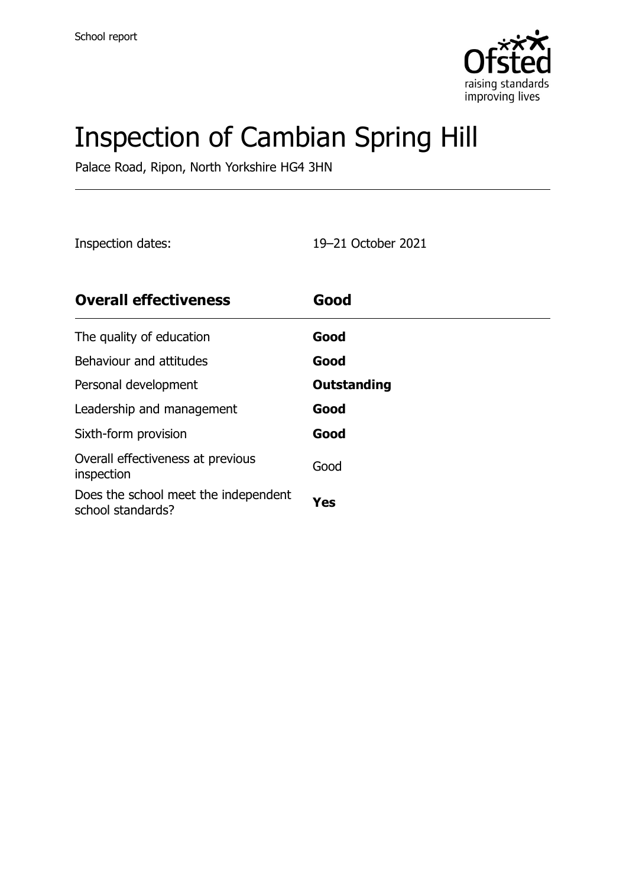

# Inspection of Cambian Spring Hill

Palace Road, Ripon, North Yorkshire HG4 3HN

Inspection dates: 19–21 October 2021

| <b>Overall effectiveness</b>                              | Good        |
|-----------------------------------------------------------|-------------|
| The quality of education                                  | Good        |
| Behaviour and attitudes                                   | Good        |
| Personal development                                      | Outstanding |
| Leadership and management                                 | Good        |
| Sixth-form provision                                      | Good        |
| Overall effectiveness at previous<br>inspection           | Good        |
| Does the school meet the independent<br>school standards? | Yes         |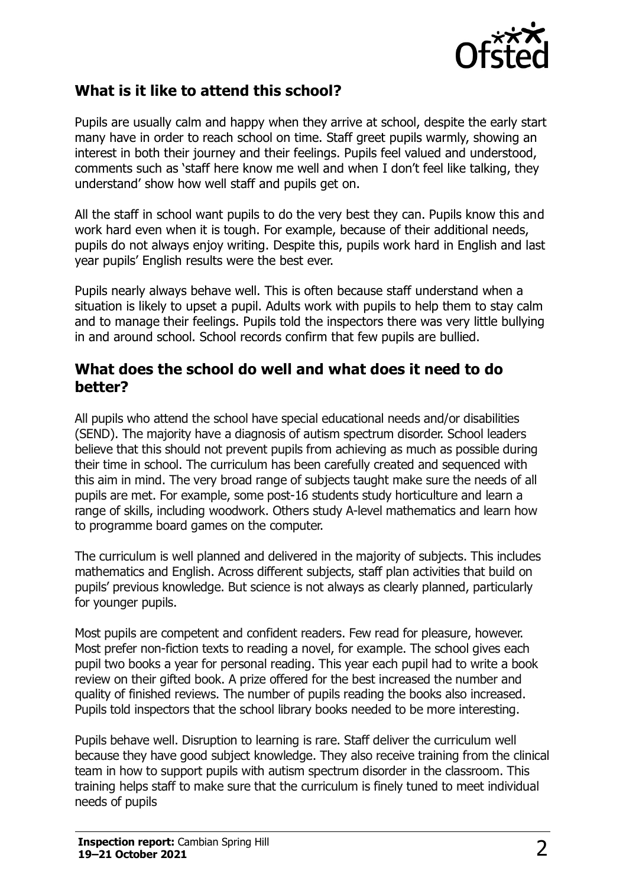

#### **What is it like to attend this school?**

Pupils are usually calm and happy when they arrive at school, despite the early start many have in order to reach school on time. Staff greet pupils warmly, showing an interest in both their journey and their feelings. Pupils feel valued and understood, comments such as 'staff here know me well and when I don't feel like talking, they understand' show how well staff and pupils get on.

All the staff in school want pupils to do the very best they can. Pupils know this and work hard even when it is tough. For example, because of their additional needs, pupils do not always enjoy writing. Despite this, pupils work hard in English and last year pupils' English results were the best ever.

Pupils nearly always behave well. This is often because staff understand when a situation is likely to upset a pupil. Adults work with pupils to help them to stay calm and to manage their feelings. Pupils told the inspectors there was very little bullying in and around school. School records confirm that few pupils are bullied.

#### **What does the school do well and what does it need to do better?**

All pupils who attend the school have special educational needs and/or disabilities (SEND). The majority have a diagnosis of autism spectrum disorder. School leaders believe that this should not prevent pupils from achieving as much as possible during their time in school. The curriculum has been carefully created and sequenced with this aim in mind. The very broad range of subjects taught make sure the needs of all pupils are met. For example, some post-16 students study horticulture and learn a range of skills, including woodwork. Others study A-level mathematics and learn how to programme board games on the computer.

The curriculum is well planned and delivered in the majority of subjects. This includes mathematics and English. Across different subjects, staff plan activities that build on pupils' previous knowledge. But science is not always as clearly planned, particularly for younger pupils.

Most pupils are competent and confident readers. Few read for pleasure, however. Most prefer non-fiction texts to reading a novel, for example. The school gives each pupil two books a year for personal reading. This year each pupil had to write a book review on their gifted book. A prize offered for the best increased the number and quality of finished reviews. The number of pupils reading the books also increased. Pupils told inspectors that the school library books needed to be more interesting.

Pupils behave well. Disruption to learning is rare. Staff deliver the curriculum well because they have good subject knowledge. They also receive training from the clinical team in how to support pupils with autism spectrum disorder in the classroom. This training helps staff to make sure that the curriculum is finely tuned to meet individual needs of pupils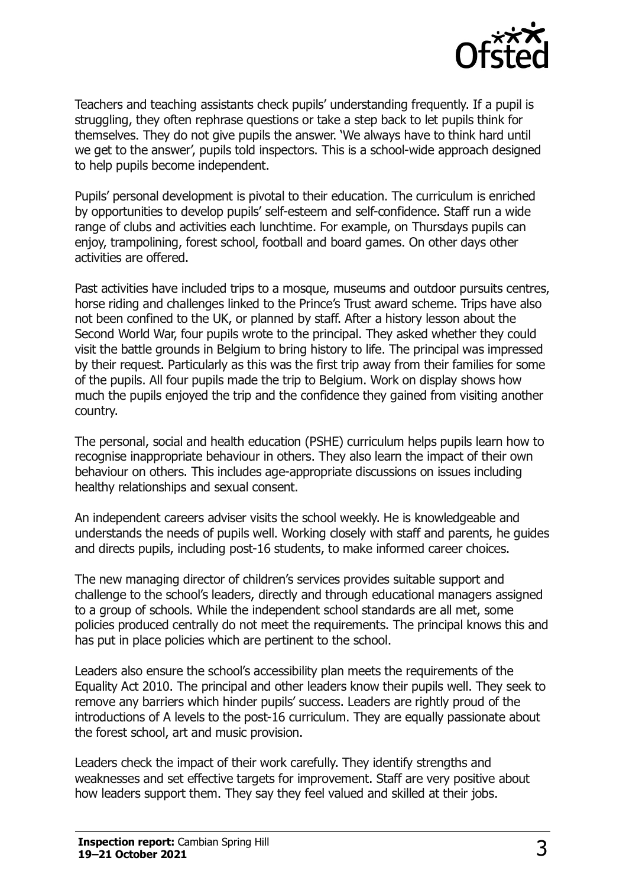

Teachers and teaching assistants check pupils' understanding frequently. If a pupil is struggling, they often rephrase questions or take a step back to let pupils think for themselves. They do not give pupils the answer. 'We always have to think hard until we get to the answer', pupils told inspectors. This is a school-wide approach designed to help pupils become independent.

Pupils' personal development is pivotal to their education. The curriculum is enriched by opportunities to develop pupils' self-esteem and self-confidence. Staff run a wide range of clubs and activities each lunchtime. For example, on Thursdays pupils can enjoy, trampolining, forest school, football and board games. On other days other activities are offered.

Past activities have included trips to a mosque, museums and outdoor pursuits centres, horse riding and challenges linked to the Prince's Trust award scheme. Trips have also not been confined to the UK, or planned by staff. After a history lesson about the Second World War, four pupils wrote to the principal. They asked whether they could visit the battle grounds in Belgium to bring history to life. The principal was impressed by their request. Particularly as this was the first trip away from their families for some of the pupils. All four pupils made the trip to Belgium. Work on display shows how much the pupils enjoyed the trip and the confidence they gained from visiting another country.

The personal, social and health education (PSHE) curriculum helps pupils learn how to recognise inappropriate behaviour in others. They also learn the impact of their own behaviour on others. This includes age-appropriate discussions on issues including healthy relationships and sexual consent.

An independent careers adviser visits the school weekly. He is knowledgeable and understands the needs of pupils well. Working closely with staff and parents, he guides and directs pupils, including post-16 students, to make informed career choices.

The new managing director of children's services provides suitable support and challenge to the school's leaders, directly and through educational managers assigned to a group of schools. While the independent school standards are all met, some policies produced centrally do not meet the requirements. The principal knows this and has put in place policies which are pertinent to the school.

Leaders also ensure the school's accessibility plan meets the requirements of the Equality Act 2010. The principal and other leaders know their pupils well. They seek to remove any barriers which hinder pupils' success. Leaders are rightly proud of the introductions of A levels to the post-16 curriculum. They are equally passionate about the forest school, art and music provision.

Leaders check the impact of their work carefully. They identify strengths and weaknesses and set effective targets for improvement. Staff are very positive about how leaders support them. They say they feel valued and skilled at their jobs.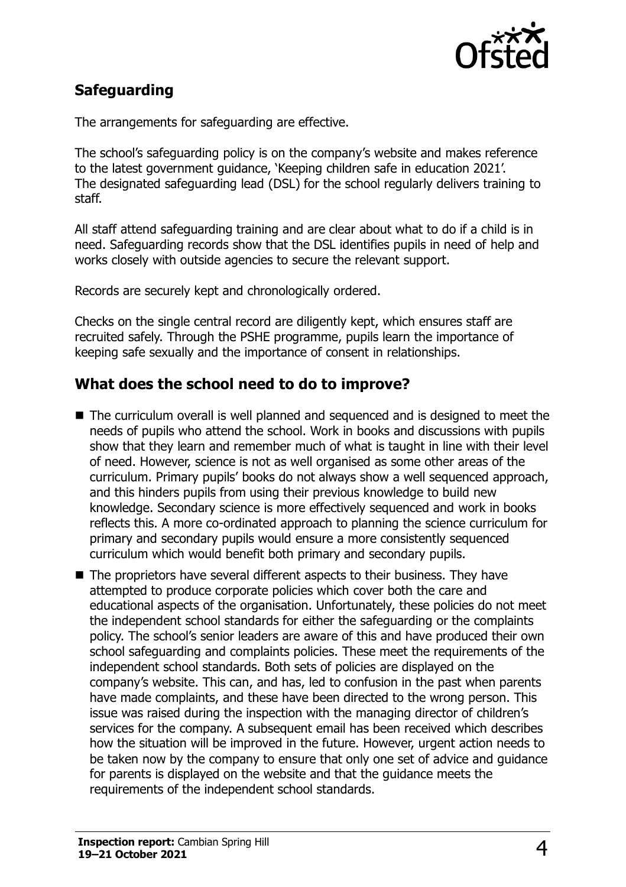

## **Safeguarding**

The arrangements for safeguarding are effective.

The school's safeguarding policy is on the company's website and makes reference to the latest government guidance, 'Keeping children safe in education 2021'. The designated safeguarding lead (DSL) for the school regularly delivers training to staff.

All staff attend safeguarding training and are clear about what to do if a child is in need. Safeguarding records show that the DSL identifies pupils in need of help and works closely with outside agencies to secure the relevant support.

Records are securely kept and chronologically ordered.

Checks on the single central record are diligently kept, which ensures staff are recruited safely. Through the PSHE programme, pupils learn the importance of keeping safe sexually and the importance of consent in relationships.

### **What does the school need to do to improve?**

- The curriculum overall is well planned and sequenced and is designed to meet the needs of pupils who attend the school. Work in books and discussions with pupils show that they learn and remember much of what is taught in line with their level of need. However, science is not as well organised as some other areas of the curriculum. Primary pupils' books do not always show a well sequenced approach, and this hinders pupils from using their previous knowledge to build new knowledge. Secondary science is more effectively sequenced and work in books reflects this. A more co-ordinated approach to planning the science curriculum for primary and secondary pupils would ensure a more consistently sequenced curriculum which would benefit both primary and secondary pupils.
- The proprietors have several different aspects to their business. They have attempted to produce corporate policies which cover both the care and educational aspects of the organisation. Unfortunately, these policies do not meet the independent school standards for either the safeguarding or the complaints policy. The school's senior leaders are aware of this and have produced their own school safeguarding and complaints policies. These meet the requirements of the independent school standards. Both sets of policies are displayed on the company's website. This can, and has, led to confusion in the past when parents have made complaints, and these have been directed to the wrong person. This issue was raised during the inspection with the managing director of children's services for the company. A subsequent email has been received which describes how the situation will be improved in the future. However, urgent action needs to be taken now by the company to ensure that only one set of advice and guidance for parents is displayed on the website and that the guidance meets the requirements of the independent school standards.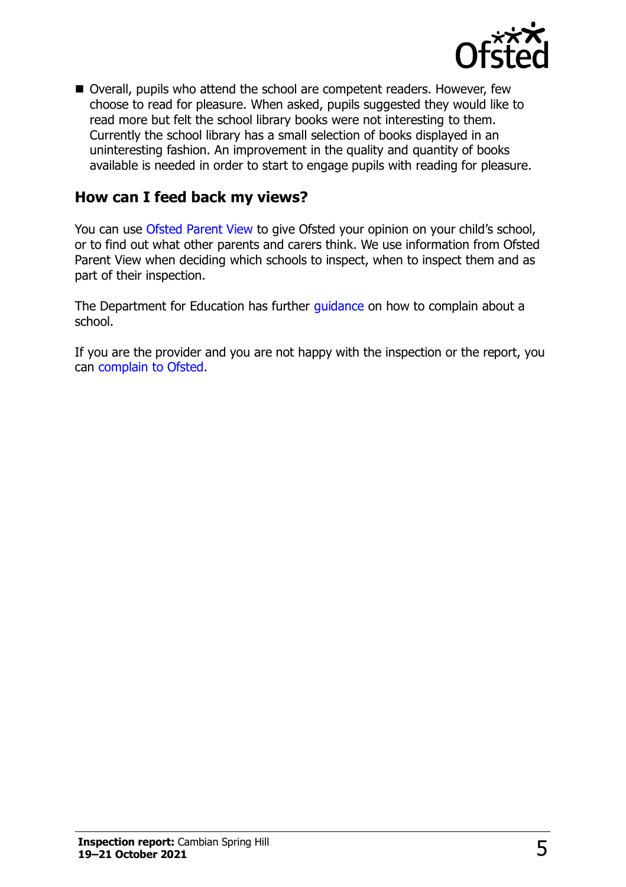

■ Overall, pupils who attend the school are competent readers. However, few choose to read for pleasure. When asked, pupils suggested they would like to read more but felt the school library books were not interesting to them. Currently the school library has a small selection of books displayed in an uninteresting fashion. An improvement in the quality and quantity of books available is needed in order to start to engage pupils with reading for pleasure.

#### **How can I feed back my views?**

You can use [Ofsted Parent View](http://parentview.ofsted.gov.uk/) to give Ofsted your opinion on your child's school, or to find out what other parents and carers think. We use information from Ofsted Parent View when deciding which schools to inspect, when to inspect them and as part of their inspection.

The Department for Education has further [guidance](http://www.gov.uk/complain-about-school) on how to complain about a school.

If you are the provider and you are not happy with the inspection or the report, you can [complain to Ofsted.](http://www.gov.uk/complain-ofsted-report)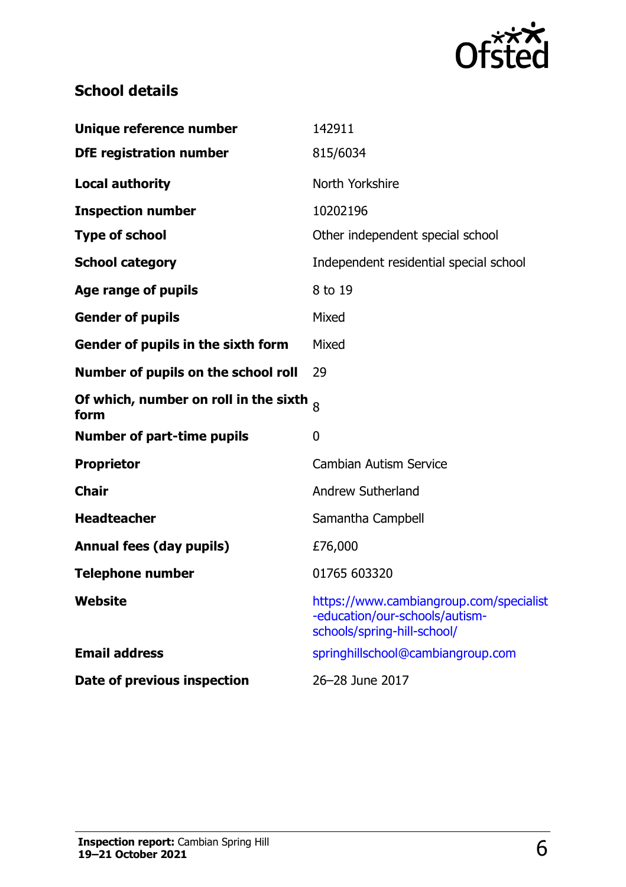

## **School details**

| Unique reference number                                       | 142911                                                                                                   |
|---------------------------------------------------------------|----------------------------------------------------------------------------------------------------------|
| <b>DfE registration number</b>                                | 815/6034                                                                                                 |
| <b>Local authority</b>                                        | North Yorkshire                                                                                          |
| <b>Inspection number</b>                                      | 10202196                                                                                                 |
| <b>Type of school</b>                                         | Other independent special school                                                                         |
| <b>School category</b>                                        | Independent residential special school                                                                   |
| Age range of pupils                                           | 8 to 19                                                                                                  |
| <b>Gender of pupils</b>                                       | Mixed                                                                                                    |
| Gender of pupils in the sixth form                            | Mixed                                                                                                    |
| Number of pupils on the school roll                           | 29                                                                                                       |
| Of which, number on roll in the sixth $\mathrm{_{8}}$<br>form |                                                                                                          |
| <b>Number of part-time pupils</b>                             | 0                                                                                                        |
| <b>Proprietor</b>                                             | <b>Cambian Autism Service</b>                                                                            |
| <b>Chair</b>                                                  | <b>Andrew Sutherland</b>                                                                                 |
| <b>Headteacher</b>                                            | Samantha Campbell                                                                                        |
| <b>Annual fees (day pupils)</b>                               | £76,000                                                                                                  |
| <b>Telephone number</b>                                       | 01765 603320                                                                                             |
| <b>Website</b>                                                | https://www.cambiangroup.com/specialist<br>-education/our-schools/autism-<br>schools/spring-hill-school/ |
| <b>Email address</b>                                          | springhillschool@cambiangroup.com                                                                        |
| Date of previous inspection                                   | 26-28 June 2017                                                                                          |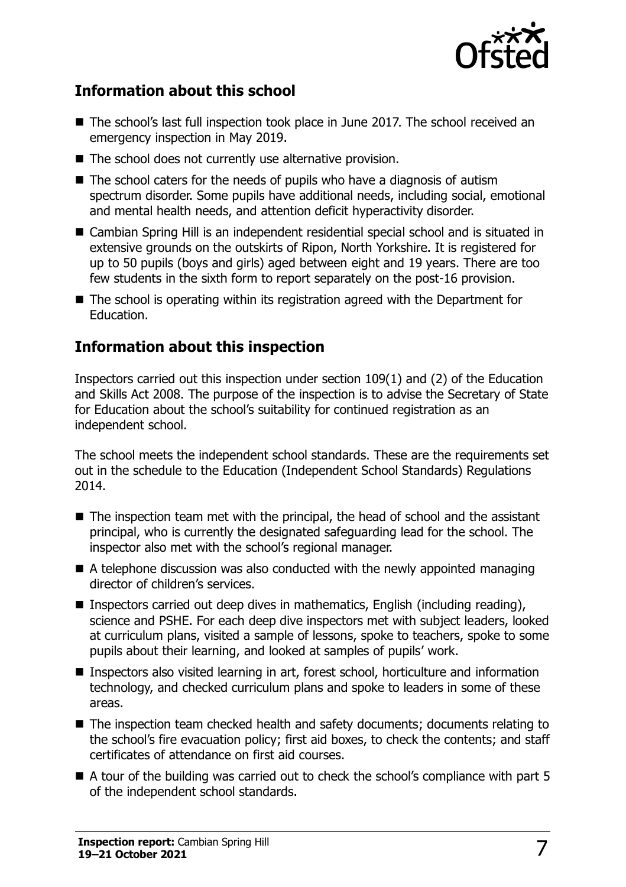

### **Information about this school**

- The school's last full inspection took place in June 2017. The school received an emergency inspection in May 2019.
- The school does not currently use alternative provision.
- $\blacksquare$  The school caters for the needs of pupils who have a diagnosis of autism spectrum disorder. Some pupils have additional needs, including social, emotional and mental health needs, and attention deficit hyperactivity disorder.
- Cambian Spring Hill is an independent residential special school and is situated in extensive grounds on the outskirts of Ripon, North Yorkshire. It is registered for up to 50 pupils (boys and girls) aged between eight and 19 years. There are too few students in the sixth form to report separately on the post-16 provision.
- The school is operating within its registration agreed with the Department for Education.

#### **Information about this inspection**

Inspectors carried out this inspection under section 109(1) and (2) of the Education and Skills Act 2008. The purpose of the inspection is to advise the Secretary of State for Education about the school's suitability for continued registration as an independent school.

The school meets the independent school standards. These are the requirements set out in the schedule to the Education (Independent School Standards) Regulations 2014.

- The inspection team met with the principal, the head of school and the assistant principal, who is currently the designated safeguarding lead for the school. The inspector also met with the school's regional manager.
- A telephone discussion was also conducted with the newly appointed managing director of children's services.
- Inspectors carried out deep dives in mathematics, English (including reading), science and PSHE. For each deep dive inspectors met with subject leaders, looked at curriculum plans, visited a sample of lessons, spoke to teachers, spoke to some pupils about their learning, and looked at samples of pupils' work.
- Inspectors also visited learning in art, forest school, horticulture and information technology, and checked curriculum plans and spoke to leaders in some of these areas.
- The inspection team checked health and safety documents; documents relating to the school's fire evacuation policy; first aid boxes, to check the contents; and staff certificates of attendance on first aid courses.
- $\blacksquare$  A tour of the building was carried out to check the school's compliance with part 5 of the independent school standards.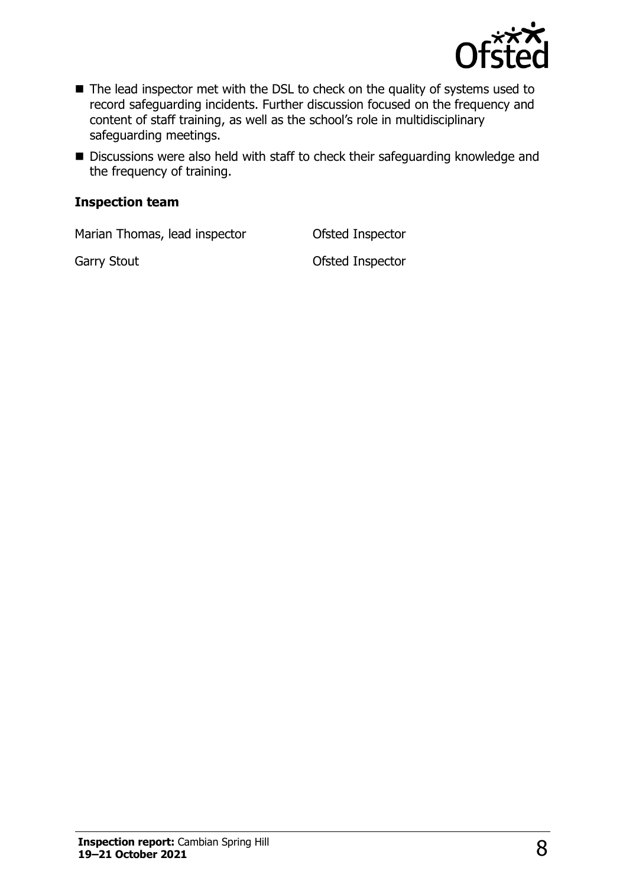

- The lead inspector met with the DSL to check on the quality of systems used to record safeguarding incidents. Further discussion focused on the frequency and content of staff training, as well as the school's role in multidisciplinary safeguarding meetings.
- Discussions were also held with staff to check their safeguarding knowledge and the frequency of training.

#### **Inspection team**

Marian Thomas, lead inspector **Ofsted Inspector** 

Garry Stout **Garry Stout Carry Stout Carry Stout Carry Stout Carry Stout Carry Stout Carry Stout Carry Stout Carry Stout Carry Stout Carry Stout Carry Stout Carry Stout Carry Stout Carry Stout**